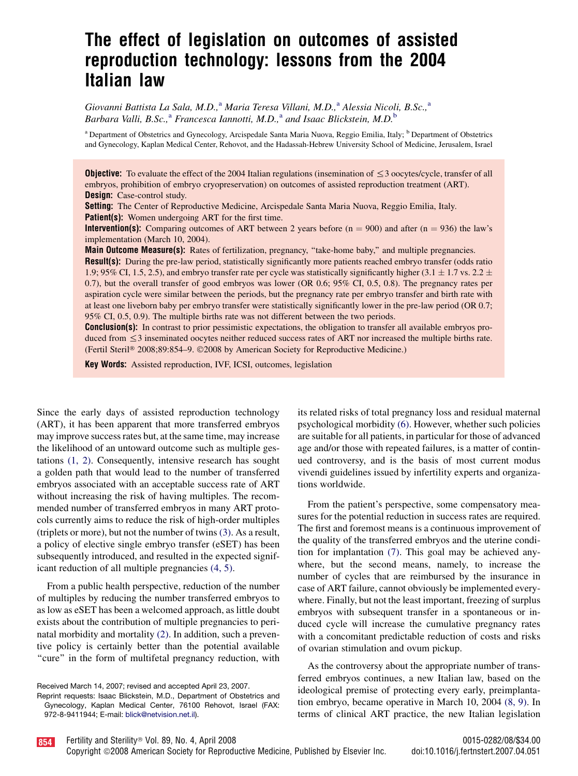# The effect of legislation on outcomes of assisted reproduction technology: lessons from the 2004 Italian law

Giovanni Battista La Sala, M.D.,<sup>a</sup> Maria Teresa Villani, M.D.,<sup>a</sup> Alessia Nicoli, B.Sc.,<sup>a</sup> Barbara Valli, B.Sc.,<sup>a</sup> Francesca Iannotti, M.D.,<sup>a</sup> and Isaac Blickstein, M.D.<sup>b</sup>

<sup>a</sup> Department of Obstetrics and Gynecology, Arcispedale Santa Maria Nuova, Reggio Emilia, Italy; <sup>b</sup> Department of Obstetrics and Gynecology, Kaplan Medical Center, Rehovot, and the Hadassah-Hebrew University School of Medicine, Jerusalem, Israel

**Objective:** To evaluate the effect of the 2004 Italian regulations (insemination of  $\leq$  3 oocytes/cycle, transfer of all embryos, prohibition of embryo cryopreservation) on outcomes of assisted reproduction treatment (ART). **Design:** Case-control study.

Setting: The Center of Reproductive Medicine, Arcispedale Santa Maria Nuova, Reggio Emilia, Italy. **Patient(s):** Women undergoing ART for the first time.

**Intervention(s):** Comparing outcomes of ART between 2 years before ( $n = 900$ ) and after ( $n = 936$ ) the law's implementation (March 10, 2004).

**Main Outcome Measure(s):** Rates of fertilization, pregnancy, "take-home baby," and multiple pregnancies. Result(s): During the pre-law period, statistically significantly more patients reached embryo transfer (odds ratio 1.9; 95% CI, 1.5, 2.5), and embryo transfer rate per cycle was statistically significantly higher (3.1  $\pm$  1.7 vs. 2.2  $\pm$ 0.7), but the overall transfer of good embryos was lower (OR 0.6; 95% CI, 0.5, 0.8). The pregnancy rates per aspiration cycle were similar between the periods, but the pregnancy rate per embryo transfer and birth rate with at least one liveborn baby per embryo transfer were statistically significantly lower in the pre-law period (OR 0.7; 95% CI, 0.5, 0.9). The multiple births rate was not different between the two periods.

Conclusion(s): In contrast to prior pessimistic expectations, the obligation to transfer all available embryos produced from  $\leq$  3 inseminated oocytes neither reduced success rates of ART nor increased the multiple births rate. (Fertil Steril® 2008;89:854-9. ©2008 by American Society for Reproductive Medicine.)

Key Words: Assisted reproduction, IVF, ICSI, outcomes, legislation

Since the early days of assisted reproduction technology (ART), it has been apparent that more transferred embryos may improve success rates but, at the same time, may increase the likelihood of an untoward outcome such as multiple gestations [\(1, 2\).](#page-4-0) Consequently, intensive research has sought a golden path that would lead to the number of transferred embryos associated with an acceptable success rate of ART without increasing the risk of having multiples. The recommended number of transferred embryos in many ART protocols currently aims to reduce the risk of high-order multiples (triplets or more), but not the number of twins [\(3\)](#page-4-0). As a result, a policy of elective single embryo transfer (eSET) has been subsequently introduced, and resulted in the expected significant reduction of all multiple pregnancies [\(4, 5\).](#page-4-0)

From a public health perspective, reduction of the number of multiples by reducing the number transferred embryos to as low as eSET has been a welcomed approach, as little doubt exists about the contribution of multiple pregnancies to perinatal morbidity and mortality [\(2\)](#page-4-0). In addition, such a preventive policy is certainly better than the potential available "cure" in the form of multifetal pregnancy reduction, with

Received March 14, 2007; revised and accepted April 23, 2007.

Reprint requests: Isaac Blickstein, M.D., Department of Obstetrics and Gynecology, Kaplan Medical Center, 76100 Rehovot, Israel (FAX: 972-8-9411944; E-mail: [blick@netvision.net.il](mailto:blick@netvision.net.il)).

its related risks of total pregnancy loss and residual maternal psychological morbidity [\(6\).](#page-4-0) However, whether such policies are suitable for all patients, in particular for those of advanced age and/or those with repeated failures, is a matter of continued controversy, and is the basis of most current modus vivendi guidelines issued by infertility experts and organizations worldwide.

From the patient's perspective, some compensatory measures for the potential reduction in success rates are required. The first and foremost means is a continuous improvement of the quality of the transferred embryos and the uterine condition for implantation [\(7\)](#page-4-0). This goal may be achieved anywhere, but the second means, namely, to increase the number of cycles that are reimbursed by the insurance in case of ART failure, cannot obviously be implemented everywhere. Finally, but not the least important, freezing of surplus embryos with subsequent transfer in a spontaneous or induced cycle will increase the cumulative pregnancy rates with a concomitant predictable reduction of costs and risks of ovarian stimulation and ovum pickup.

As the controversy about the appropriate number of transferred embryos continues, a new Italian law, based on the ideological premise of protecting every early, preimplantation embryo, became operative in March 10, 2004 [\(8, 9\)](#page-4-0). In terms of clinical ART practice, the new Italian legislation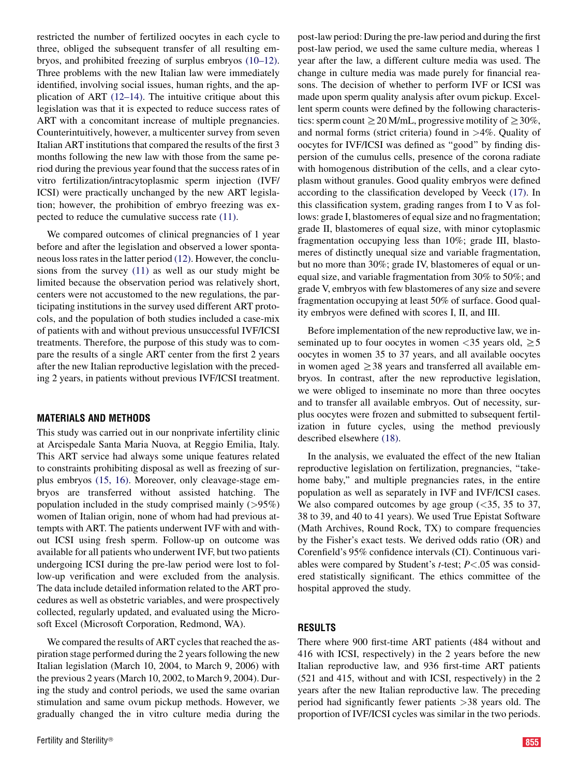restricted the number of fertilized oocytes in each cycle to three, obliged the subsequent transfer of all resulting embryos, and prohibited freezing of surplus embryos [\(10–12\)](#page-4-0). Three problems with the new Italian law were immediately identified, involving social issues, human rights, and the application of ART [\(12–14\)](#page-5-0). The intuitive critique about this legislation was that it is expected to reduce success rates of ART with a concomitant increase of multiple pregnancies. Counterintuitively, however, a multicenter survey from seven Italian ART institutions that compared the results of the first 3 months following the new law with those from the same period during the previous year found that the success rates of in vitro fertilization/intracytoplasmic sperm injection (IVF/ ICSI) were practically unchanged by the new ART legislation; however, the prohibition of embryo freezing was expected to reduce the cumulative success rate [\(11\)](#page-4-0).

We compared outcomes of clinical pregnancies of 1 year before and after the legislation and observed a lower spontaneous loss rates in the latter period [\(12\)](#page-5-0). However, the conclusions from the survey [\(11\)](#page-4-0) as well as our study might be limited because the observation period was relatively short, centers were not accustomed to the new regulations, the participating institutions in the survey used different ART protocols, and the population of both studies included a case-mix of patients with and without previous unsuccessful IVF/ICSI treatments. Therefore, the purpose of this study was to compare the results of a single ART center from the first 2 years after the new Italian reproductive legislation with the preceding 2 years, in patients without previous IVF/ICSI treatment.

#### MATERIALS AND METHODS

This study was carried out in our nonprivate infertility clinic at Arcispedale Santa Maria Nuova, at Reggio Emilia, Italy. This ART service had always some unique features related to constraints prohibiting disposal as well as freezing of surplus embryos [\(15, 16\)](#page-5-0). Moreover, only cleavage-stage embryos are transferred without assisted hatching. The population included in the study comprised mainly (>95%) women of Italian origin, none of whom had had previous attempts with ART. The patients underwent IVF with and without ICSI using fresh sperm. Follow-up on outcome was available for all patients who underwent IVF, but two patients undergoing ICSI during the pre-law period were lost to follow-up verification and were excluded from the analysis. The data include detailed information related to the ART procedures as well as obstetric variables, and were prospectively collected, regularly updated, and evaluated using the Microsoft Excel (Microsoft Corporation, Redmond, WA).

We compared the results of ART cycles that reached the aspiration stage performed during the 2 years following the new Italian legislation (March 10, 2004, to March 9, 2006) with the previous 2 years (March 10, 2002, to March 9, 2004). During the study and control periods, we used the same ovarian stimulation and same ovum pickup methods. However, we gradually changed the in vitro culture media during the post-law period: During the pre-law period and during the first post-law period, we used the same culture media, whereas 1 year after the law, a different culture media was used. The change in culture media was made purely for financial reasons. The decision of whether to perform IVF or ICSI was made upon sperm quality analysis after ovum pickup. Excellent sperm counts were defined by the following characteristics: sperm count  $\geq$  20 M/mL, progressive motility of  $\geq$  30%, and normal forms (strict criteria) found in  $>4\%$ . Quality of oocytes for IVF/ICSI was defined as ''good'' by finding dispersion of the cumulus cells, presence of the corona radiate with homogenous distribution of the cells, and a clear cytoplasm without granules. Good quality embryos were defined according to the classification developed by Veeck [\(17\).](#page-5-0) In this classification system, grading ranges from I to V as follows: grade I, blastomeres of equal size and no fragmentation; grade II, blastomeres of equal size, with minor cytoplasmic fragmentation occupying less than 10%; grade III, blastomeres of distinctly unequal size and variable fragmentation, but no more than 30%; grade IV, blastomeres of equal or unequal size, and variable fragmentation from 30% to 50%; and grade V, embryos with few blastomeres of any size and severe fragmentation occupying at least 50% of surface. Good quality embryos were defined with scores I, II, and III.

Before implementation of the new reproductive law, we inseminated up to four oocytes in women  $\langle 35 \rangle$  years old,  $\geq 5$ oocytes in women 35 to 37 years, and all available oocytes in women aged  $\geq$ 38 years and transferred all available embryos. In contrast, after the new reproductive legislation, we were obliged to inseminate no more than three oocytes and to transfer all available embryos. Out of necessity, surplus oocytes were frozen and submitted to subsequent fertilization in future cycles, using the method previously described elsewhere [\(18\)](#page-5-0).

In the analysis, we evaluated the effect of the new Italian reproductive legislation on fertilization, pregnancies, ''takehome baby,'' and multiple pregnancies rates, in the entire population as well as separately in IVF and IVF/ICSI cases. We also compared outcomes by age group  $( $35$ ,  $35$  to  $37$ ,$ 38 to 39, and 40 to 41 years). We used True Epistat Software (Math Archives, Round Rock, TX) to compare frequencies by the Fisher's exact tests. We derived odds ratio (OR) and Corenfield's 95% confidence intervals (CI). Continuous variables were compared by Student's  $t$ -test;  $P < .05$  was considered statistically significant. The ethics committee of the hospital approved the study.

#### RESULTS

There where 900 first-time ART patients (484 without and 416 with ICSI, respectively) in the 2 years before the new Italian reproductive law, and 936 first-time ART patients (521 and 415, without and with ICSI, respectively) in the 2 years after the new Italian reproductive law. The preceding period had significantly fewer patients >38 years old. The proportion of IVF/ICSI cycles was similar in the two periods.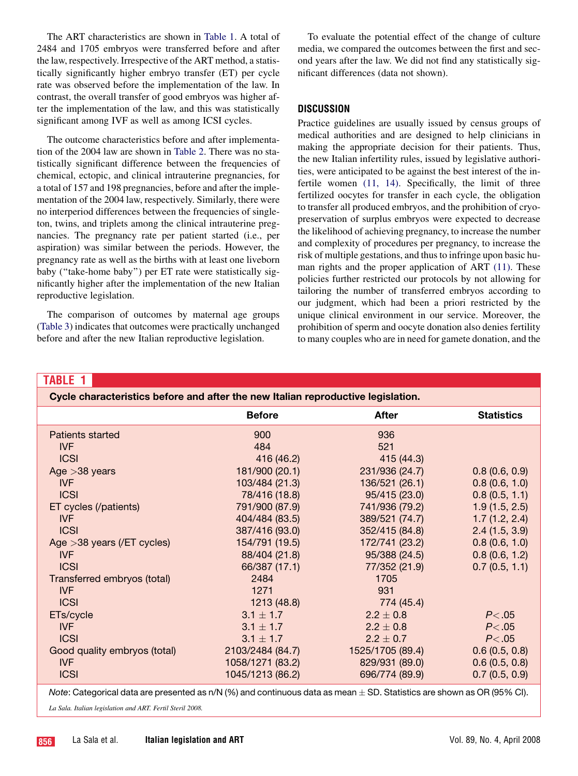<span id="page-2-0"></span>The ART characteristics are shown in Table 1. A total of 2484 and 1705 embryos were transferred before and after the law, respectively. Irrespective of the ART method, a statistically significantly higher embryo transfer (ET) per cycle rate was observed before the implementation of the law. In contrast, the overall transfer of good embryos was higher after the implementation of the law, and this was statistically significant among IVF as well as among ICSI cycles.

The outcome characteristics before and after implementation of the 2004 law are shown in [Table 2](#page-3-0). There was no statistically significant difference between the frequencies of chemical, ectopic, and clinical intrauterine pregnancies, for a total of 157 and 198 pregnancies, before and after the implementation of the 2004 law, respectively. Similarly, there were no interperiod differences between the frequencies of singleton, twins, and triplets among the clinical intrauterine pregnancies. The pregnancy rate per patient started (i.e., per aspiration) was similar between the periods. However, the pregnancy rate as well as the births with at least one liveborn baby ("take-home baby") per ET rate were statistically significantly higher after the implementation of the new Italian reproductive legislation.

The comparison of outcomes by maternal age groups [\(Table 3](#page-4-0)) indicates that outcomes were practically unchanged before and after the new Italian reproductive legislation.

To evaluate the potential effect of the change of culture media, we compared the outcomes between the first and second years after the law. We did not find any statistically significant differences (data not shown).

### DISCUSSION

Practice guidelines are usually issued by census groups of medical authorities and are designed to help clinicians in making the appropriate decision for their patients. Thus, the new Italian infertility rules, issued by legislative authorities, were anticipated to be against the best interest of the infertile women [\(11, 14\)](#page-4-0). Specifically, the limit of three fertilized oocytes for transfer in each cycle, the obligation to transfer all produced embryos, and the prohibition of cryopreservation of surplus embryos were expected to decrease the likelihood of achieving pregnancy, to increase the number and complexity of procedures per pregnancy, to increase the risk of multiple gestations, and thus to infringe upon basic human rights and the proper application of ART [\(11\).](#page-4-0) These policies further restricted our protocols by not allowing for tailoring the number of transferred embryos according to our judgment, which had been a priori restricted by the unique clinical environment in our service. Moreover, the prohibition of sperm and oocyte donation also denies fertility to many couples who are in need for gamete donation, and the

#### TABLE 1

| Cycle characteristics before and after the new Italian reproductive legislation. |                  |                  |                   |  |
|----------------------------------------------------------------------------------|------------------|------------------|-------------------|--|
|                                                                                  | <b>Before</b>    | <b>After</b>     | <b>Statistics</b> |  |
| Patients started                                                                 | 900              | 936              |                   |  |
| <b>IVF</b>                                                                       | 484              | 521              |                   |  |
| <b>ICSI</b>                                                                      | 416 (46.2)       | 415 (44.3)       |                   |  |
| Age $>38$ years                                                                  | 181/900 (20.1)   | 231/936 (24.7)   | 0.8(0.6, 0.9)     |  |
| <b>IVF</b>                                                                       | 103/484 (21.3)   | 136/521 (26.1)   | 0.8(0.6, 1.0)     |  |
| <b>ICSI</b>                                                                      | 78/416 (18.8)    | 95/415 (23.0)    | 0.8(0.5, 1.1)     |  |
| ET cycles (/patients)                                                            | 791/900 (87.9)   | 741/936 (79.2)   | 1.9(1.5, 2.5)     |  |
| <b>IVF</b>                                                                       | 404/484 (83.5)   | 389/521 (74.7)   | 1.7(1.2, 2.4)     |  |
| <b>ICSI</b>                                                                      | 387/416 (93.0)   | 352/415 (84.8)   | 2.4(1.5, 3.9)     |  |
| Age $>$ 38 years (/ET cycles)                                                    | 154/791 (19.5)   | 172/741 (23.2)   | 0.8(0.6, 1.0)     |  |
| <b>IVF</b>                                                                       | 88/404 (21.8)    | 95/388 (24.5)    | 0.8(0.6, 1.2)     |  |
| <b>ICSI</b>                                                                      | 66/387 (17.1)    | 77/352 (21.9)    | 0.7(0.5, 1.1)     |  |
| Transferred embryos (total)                                                      | 2484             | 1705             |                   |  |
| <b>IVF</b>                                                                       | 1271             | 931              |                   |  |
| <b>ICSI</b>                                                                      | 1213 (48.8)      | 774 (45.4)       |                   |  |
| ETs/cycle                                                                        | $3.1 \pm 1.7$    | $2.2 \pm 0.8$    | P < .05           |  |
| <b>IVF</b>                                                                       | $3.1 \pm 1.7$    | $2.2 \pm 0.8$    | P < .05           |  |
| <b>ICSI</b>                                                                      | $3.1 \pm 1.7$    | $2.2 \pm 0.7$    | P < .05           |  |
| Good quality embryos (total)                                                     | 2103/2484 (84.7) | 1525/1705 (89.4) | 0.6(0.5, 0.8)     |  |
| <b>IVF</b>                                                                       | 1058/1271 (83.2) | 829/931 (89.0)   | 0.6(0.5, 0.8)     |  |
| <b>ICSI</b>                                                                      | 1045/1213 (86.2) | 696/774 (89.9)   | 0.7(0.5, 0.9)     |  |

*Note*: Categorical data are presented as n/N (%) and continuous data as mean  $\pm$  SD. Statistics are shown as OR (95% CI).

La Sala. Italian legislation and ART. Fertil Steril 2008.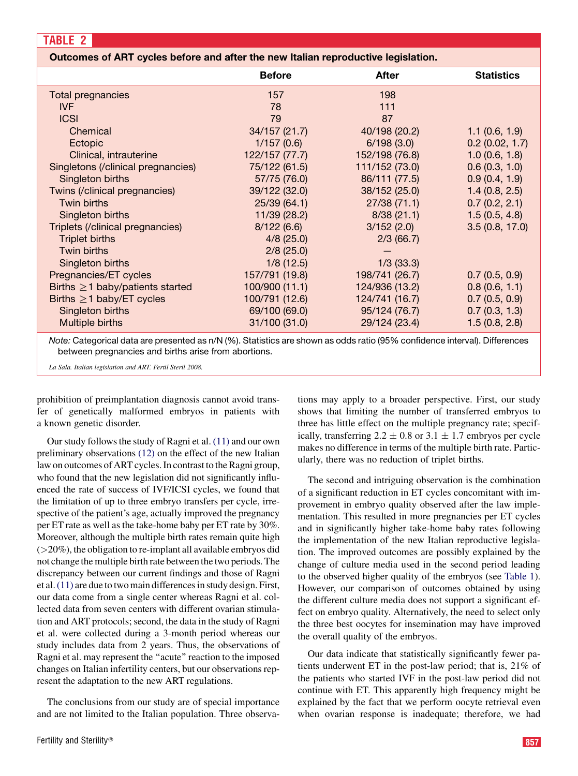# <span id="page-3-0"></span>Outcomes of ART cycles before and after the new Italian reproductive legislation.

|                                       | <b>Before</b>  | <b>After</b>   | <b>Statistics</b> |
|---------------------------------------|----------------|----------------|-------------------|
| <b>Total pregnancies</b>              | 157            | 198            |                   |
| IVF                                   | 78             | 111            |                   |
| <b>ICSI</b>                           | 79             | 87             |                   |
| Chemical                              | 34/157 (21.7)  | 40/198 (20.2)  | 1.1(0.6, 1.9)     |
| Ectopic                               | 1/157(0.6)     | 6/198(3.0)     | 0.2(0.02, 1.7)    |
| Clinical, intrauterine                | 122/157 (77.7) | 152/198 (76.8) | 1.0(0.6, 1.8)     |
| Singletons (/clinical pregnancies)    | 75/122 (61.5)  | 111/152 (73.0) | 0.6(0.3, 1.0)     |
| Singleton births                      | 57/75 (76.0)   | 86/111 (77.5)  | 0.9(0.4, 1.9)     |
| Twins (/clinical pregnancies)         | 39/122 (32.0)  | 38/152 (25.0)  | 1.4(0.8, 2.5)     |
| Twin births                           | 25/39 (64.1)   | 27/38(71.1)    | 0.7(0.2, 2.1)     |
| Singleton births                      | 11/39 (28.2)   | 8/38(21.1)     | 1.5(0.5, 4.8)     |
| Triplets (/clinical pregnancies)      | 8/122(6.6)     | 3/152(2.0)     | 3.5(0.8, 17.0)    |
| <b>Triplet births</b>                 | $4/8$ (25.0)   | 2/3(66.7)      |                   |
| Twin births                           | 2/8(25.0)      |                |                   |
| Singleton births                      | 1/8(12.5)      | $1/3$ (33.3)   |                   |
| Pregnancies/ET cycles                 | 157/791 (19.8) | 198/741 (26.7) | 0.7(0.5, 0.9)     |
| Births $\geq$ 1 baby/patients started | 100/900 (11.1) | 124/936 (13.2) | 0.8(0.6, 1.1)     |
| Births $\geq 1$ baby/ET cycles        | 100/791 (12.6) | 124/741 (16.7) | 0.7(0.5, 0.9)     |
| Singleton births                      | 69/100 (69.0)  | 95/124 (76.7)  | 0.7(0.3, 1.3)     |
| Multiple births                       | 31/100 (31.0)  | 29/124 (23.4)  | 1.5(0.8, 2.8)     |
|                                       |                |                |                   |

*Note:* Categorical data are presented as n/N (%). Statistics are shown as odds ratio (95% confidence interval). Differences between pregnancies and births arise from abortions.

La Sala. Italian legislation and ART. Fertil Steril 2008.

prohibition of preimplantation diagnosis cannot avoid transfer of genetically malformed embryos in patients with a known genetic disorder.

Our study follows the study of Ragni et al. [\(11\)](#page-4-0) and our own preliminary observations [\(12\)](#page-5-0) on the effect of the new Italian law on outcomes of ART cycles. In contrast to the Ragni group, who found that the new legislation did not significantly influenced the rate of success of IVF/ICSI cycles, we found that the limitation of up to three embryo transfers per cycle, irrespective of the patient's age, actually improved the pregnancy per ET rate as well as the take-home baby per ET rate by 30%. Moreover, although the multiple birth rates remain quite high  $($  >20%), the obligation to re-implant all available embryos did not change the multiple birth rate between the two periods. The discrepancy between our current findings and those of Ragni et al.[\(11\)](#page-4-0) are due to two main differences in study design. First, our data come from a single center whereas Ragni et al. collected data from seven centers with different ovarian stimulation and ART protocols; second, the data in the study of Ragni et al. were collected during a 3-month period whereas our study includes data from 2 years. Thus, the observations of Ragni et al. may represent the ''acute'' reaction to the imposed changes on Italian infertility centers, but our observations represent the adaptation to the new ART regulations.

The conclusions from our study are of special importance and are not limited to the Italian population. Three observations may apply to a broader perspective. First, our study shows that limiting the number of transferred embryos to three has little effect on the multiple pregnancy rate; specifically, transferring  $2.2 \pm 0.8$  or  $3.1 \pm 1.7$  embryos per cycle makes no difference in terms of the multiple birth rate. Particularly, there was no reduction of triplet births.

The second and intriguing observation is the combination of a significant reduction in ET cycles concomitant with improvement in embryo quality observed after the law implementation. This resulted in more pregnancies per ET cycles and in significantly higher take-home baby rates following the implementation of the new Italian reproductive legislation. The improved outcomes are possibly explained by the change of culture media used in the second period leading to the observed higher quality of the embryos (see [Table 1](#page-2-0)). However, our comparison of outcomes obtained by using the different culture media does not support a significant effect on embryo quality. Alternatively, the need to select only the three best oocytes for insemination may have improved the overall quality of the embryos.

Our data indicate that statistically significantly fewer patients underwent ET in the post-law period; that is, 21% of the patients who started IVF in the post-law period did not continue with ET. This apparently high frequency might be explained by the fact that we perform oocyte retrieval even when ovarian response is inadequate; therefore, we had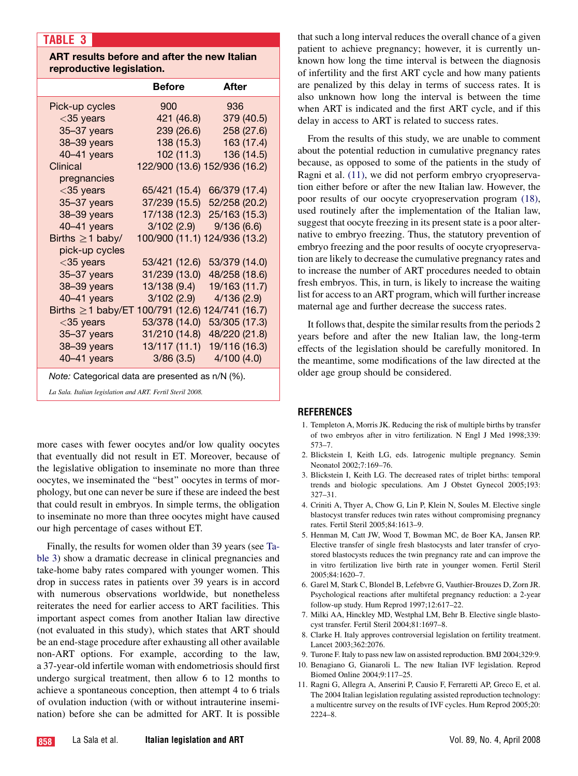# <span id="page-4-0"></span>TABLE 3

# ART results before and after the new Italian reproductive legislation.

|                                                           | <b>Before</b>                 | After          |  |  |
|-----------------------------------------------------------|-------------------------------|----------------|--|--|
| Pick-up cycles                                            | 900                           | 936            |  |  |
| $<$ 35 years                                              | 421 (46.8)                    | 379 (40.5)     |  |  |
| 35-37 years                                               | 239 (26.6)                    | 258 (27.6)     |  |  |
| 38-39 years                                               | 138 (15.3)                    | 163 (17.4)     |  |  |
| 40-41 years                                               | 102 (11.3)                    | 136 (14.5)     |  |  |
| Clinical                                                  | 122/900 (13.6) 152/936 (16.2) |                |  |  |
| pregnancies                                               |                               |                |  |  |
| $<$ 35 years                                              | 65/421 (15.4)                 | 66/379 (17.4)  |  |  |
| 35-37 years                                               | 37/239 (15.5)                 | 52/258 (20.2)  |  |  |
| 38-39 years                                               | 17/138 (12.3)                 | 25/163 (15.3)  |  |  |
| 40-41 years                                               | 3/102(2.9)                    | 9/136(6.6)     |  |  |
| Births $\geq$ 1 baby/                                     | 100/900 (11.1) 124/936 (13.2) |                |  |  |
| pick-up cycles                                            |                               |                |  |  |
| $<$ 35 years                                              | 53/421 (12.6)                 | 53/379 (14.0)  |  |  |
| 35-37 years                                               | 31/239 (13.0)                 | 48/258 (18.6)  |  |  |
| 38-39 years                                               | 13/138 (9.4)                  | 19/163 (11.7)  |  |  |
| 40-41 years                                               | 3/102(2.9)                    | 4/136(2.9)     |  |  |
| Births $\geq$ 1 baby/ET                                   | 100/791 (12.6)                | 124/741 (16.7) |  |  |
| $<$ 35 years                                              | 53/378 (14.0)                 | 53/305 (17.3)  |  |  |
| 35-37 years                                               | 31/210 (14.8)                 | 48/220 (21.8)  |  |  |
| 38-39 years                                               | 13/117 (11.1)                 | 19/116 (16.3)  |  |  |
| $40 - 41$ years                                           | 3/86(3.5)                     | 4/100(4.0)     |  |  |
| Note: Categorical data are presented as n/N (%).          |                               |                |  |  |
| La Sala. Italian legislation and ART. Fertil Steril 2008. |                               |                |  |  |

more cases with fewer oocytes and/or low quality oocytes that eventually did not result in ET. Moreover, because of the legislative obligation to inseminate no more than three oocytes, we inseminated the ''best'' oocytes in terms of morphology, but one can never be sure if these are indeed the best that could result in embryos. In simple terms, the obligation to inseminate no more than three oocytes might have caused our high percentage of cases without ET.

Finally, the results for women older than 39 years (see Table 3) show a dramatic decrease in clinical pregnancies and take-home baby rates compared with younger women. This drop in success rates in patients over 39 years is in accord with numerous observations worldwide, but nonetheless reiterates the need for earlier access to ART facilities. This important aspect comes from another Italian law directive (not evaluated in this study), which states that ART should be an end-stage procedure after exhausting all other available non-ART options. For example, according to the law, a 37-year-old infertile woman with endometriosis should first undergo surgical treatment, then allow 6 to 12 months to achieve a spontaneous conception, then attempt 4 to 6 trials of ovulation induction (with or without intrauterine insemination) before she can be admitted for ART. It is possible

that such a long interval reduces the overall chance of a given patient to achieve pregnancy; however, it is currently unknown how long the time interval is between the diagnosis of infertility and the first ART cycle and how many patients are penalized by this delay in terms of success rates. It is also unknown how long the interval is between the time when ART is indicated and the first ART cycle, and if this delay in access to ART is related to success rates.

From the results of this study, we are unable to comment about the potential reduction in cumulative pregnancy rates because, as opposed to some of the patients in the study of Ragni et al. (11), we did not perform embryo cryopreservation either before or after the new Italian law. However, the poor results of our oocyte cryopreservation program [\(18\)](#page-5-0), used routinely after the implementation of the Italian law, suggest that oocyte freezing in its present state is a poor alternative to embryo freezing. Thus, the statutory prevention of embryo freezing and the poor results of oocyte cryopreservation are likely to decrease the cumulative pregnancy rates and to increase the number of ART procedures needed to obtain fresh embryos. This, in turn, is likely to increase the waiting list for access to an ART program, which will further increase maternal age and further decrease the success rates.

It follows that, despite the similar results from the periods 2 years before and after the new Italian law, the long-term effects of the legislation should be carefully monitored. In the meantime, some modifications of the law directed at the older age group should be considered.

# **REFERENCES**

- 1. Templeton A, Morris JK. Reducing the risk of multiple births by transfer of two embryos after in vitro fertilization. N Engl J Med 1998;339: 573–7.
- 2. Blickstein I, Keith LG, eds. Iatrogenic multiple pregnancy. Semin Neonatol 2002;7:169–76.
- 3. Blickstein I, Keith LG. The decreased rates of triplet births: temporal trends and biologic speculations. Am J Obstet Gynecol 2005;193: 327–31.
- 4. Criniti A, Thyer A, Chow G, Lin P, Klein N, Soules M. Elective single blastocyst transfer reduces twin rates without compromising pregnancy rates. Fertil Steril 2005;84:1613–9.
- 5. Henman M, Catt JW, Wood T, Bowman MC, de Boer KA, Jansen RP. Elective transfer of single fresh blastocysts and later transfer of cryostored blastocysts reduces the twin pregnancy rate and can improve the in vitro fertilization live birth rate in younger women. Fertil Steril 2005;84:1620–7.
- 6. Garel M, Stark C, Blondel B, Lefebvre G, Vauthier-Brouzes D, Zorn JR. Psychological reactions after multifetal pregnancy reduction: a 2-year follow-up study. Hum Reprod 1997;12:617–22.
- 7. Milki AA, Hinckley MD, Westphal LM, Behr B. Elective single blastocyst transfer. Fertil Steril 2004;81:1697–8.
- 8. Clarke H. Italy approves controversial legislation on fertility treatment. Lancet 2003;362:2076.
- 9. Turone F. Italy to pass new law on assisted reproduction. BMJ 2004;329:9.
- 10. Benagiano G, Gianaroli L. The new Italian IVF legislation. Reprod Biomed Online 2004;9:117–25.
- 11. Ragni G, Allegra A, Anserini P, Causio F, Ferraretti AP, Greco E, et al. The 2004 Italian legislation regulating assisted reproduction technology: a multicentre survey on the results of IVF cycles. Hum Reprod 2005;20: 2224–8.